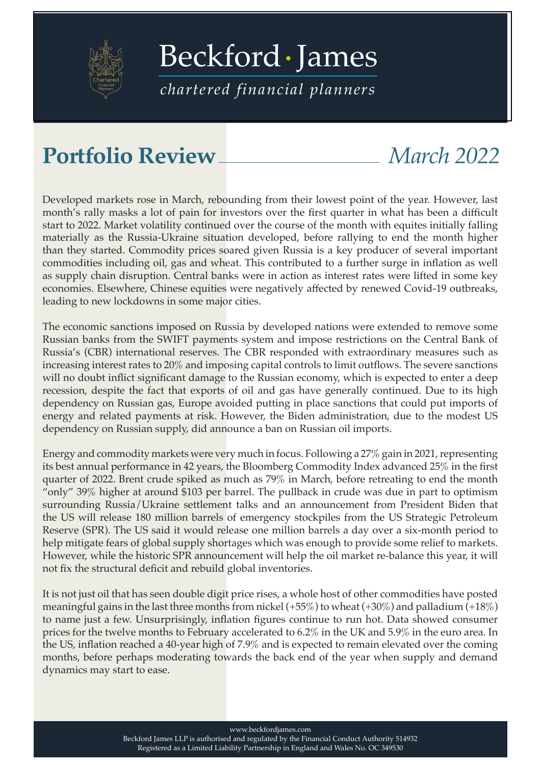

[Beckford James](https://beckfordjames.com/client-information/portfolio-reviews/)

*chartered financial planners*

## **Portfolio Review** *March 2022*

Developed markets rose in March, rebounding from their lowest point of the year. However, last month's rally masks a lot of pain for investors over the first quarter in what has been a difficult start to 2022. Market volatility continued over the course of the month with equites initially falling materially as the Russia-Ukraine situation developed, before rallying to end the month higher than they started. Commodity prices soared given Russia is a key producer of several important commodities including oil, gas and wheat. This contributed to a further surge in inflation as well as supply chain disruption. Central banks were in action as interest rates were lifted in some key economies. Elsewhere, Chinese equities were negatively affected by renewed Covid-19 outbreaks, leading to new lockdowns in some major cities.

The economic sanctions imposed on Russia by developed nations were extended to remove some Russian banks from the SWIFT payments system and impose restrictions on the Central Bank of Russia's (CBR) international reserves. The CBR responded with extraordinary measures such as increasing interest rates to 20% and imposing capital controls to limit outflows. The severe sanctions will no doubt inflict significant damage to the Russian economy, which is expected to enter a deep recession, despite the fact that exports of oil and gas have generally continued. Due to its high dependency on Russian gas, Europe avoided putting in place sanctions that could put imports of energy and related payments at risk. However, the Biden administration, due to the modest US dependency on Russian supply, did announce a ban on Russian oil imports.

Energy and commodity markets were very much in focus. Following a 27% gain in 2021, representing its best annual performance in 42 years, the Bloomberg Commodity Index advanced 25% in the first quarter of 2022. Brent crude spiked as much as 79% in March, before retreating to end the month "only" 39% higher at around \$103 per barrel. The pullback in crude was due in part to optimism surrounding Russia/Ukraine settlement talks and an announcement from President Biden that the US will release 180 million barrels of emergency stockpiles from the US Strategic Petroleum Reserve (SPR). The US said it would release one million barrels a day over a six-month period to help mitigate fears of global supply shortages which was enough to provide some relief to markets. However, while the historic SPR announcement will help the oil market re-balance this year, it will not fix the structural deficit and rebuild global inventories.

It is not just oil that has seen double digit price rises, a whole host of other commodities have posted meaningful gains in the last three months from nickel  $(+55%)$  to wheat  $(+30%)$  and palladium  $(+18%)$ to name just a few. Unsurprisingly, inflation figures continue to run hot. Data showed consumer prices for the twelve months to February accelerated to 6.2% in the UK and 5.9% in the euro area. In the US, inflation reached a 40-year high of 7.9% and is expected to remain elevated over the coming months, before perhaps moderating towards the back end of the year when supply and demand dynamics may start to ease.

www.beckfordjames.com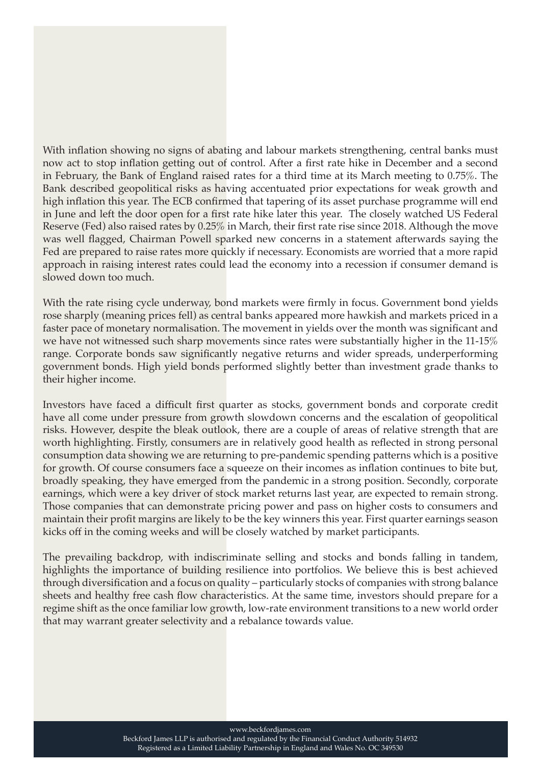With inflation showing no signs of abating and labour markets strengthening, central banks must now act to stop inflation getting out of control. After a first rate hike in December and a second in February, the Bank of England raised rates for a third time at its March meeting to 0.75%. The Bank described geopolitical risks as having accentuated prior expectations for weak growth and high inflation this year. The ECB confirmed that tapering of its asset purchase programme will end in June and left the door open for a first rate hike later this year. The closely watched US Federal Reserve (Fed) also raised rates by 0.25% in March, their first rate rise since 2018. Although the move was well flagged, Chairman Powell sparked new concerns in a statement afterwards saying the Fed are prepared to raise rates more quickly if necessary. Economists are worried that a more rapid approach in raising interest rates could lead the economy into a recession if consumer demand is slowed down too much.

With the rate rising cycle underway, bond markets were firmly in focus. Government bond yields rose sharply (meaning prices fell) as central banks appeared more hawkish and markets priced in a faster pace of monetary normalisation. The movement in yields over the month was significant and we have not witnessed such sharp movements since rates were substantially higher in the 11-15% range. Corporate bonds saw significantly negative returns and wider spreads, underperforming government bonds. High yield bonds performed slightly better than investment grade thanks to their higher income.

Investors have faced a difficult first quarter as stocks, government bonds and corporate credit have all come under pressure from growth slowdown concerns and the escalation of geopolitical risks. However, despite the bleak outlook, there are a couple of areas of relative strength that are worth highlighting. Firstly, consumers are in relatively good health as reflected in strong personal consumption data showing we are returning to pre-pandemic spending patterns which is a positive for growth. Of course consumers face a squeeze on their incomes as inflation continues to bite but, broadly speaking, they have emerged from the pandemic in a strong position. Secondly, corporate earnings, which were a key driver of stock market returns last year, are expected to remain strong. Those companies that can demonstrate pricing power and pass on higher costs to consumers and maintain their profit margins are likely to be the key winners this year. First quarter earnings season kicks off in the coming weeks and will be closely watched by market participants.

The prevailing backdrop, with indiscriminate selling and stocks and bonds falling in tandem, highlights the importance of building resilience into portfolios. We believe this is best achieved through diversification and a focus on quality – particularly stocks of companies with strong balance sheets and healthy free cash flow characteristics. At the same time, investors should prepare for a regime shift as the once familiar low growth, low-rate environment transitions to a new world order that may warrant greater selectivity and a rebalance towards value.

www.beckfordjames.com